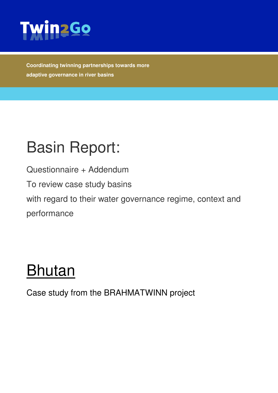

**Coordinating twinning partnerships towards more adaptive governance in river basins** 

# Basin Report:

Questionnaire + Addendum

To review case study basins

with regard to their water governance regime, context and performance

# Bhutan

Case study from the BRAHMATWINN project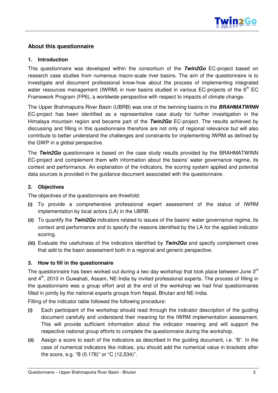

### **About this questionnaire**

#### **1. Introduction**

This questionnaire was developed within the consortium of the **Twin2Go** EC-project based on research case studies from numerous macro-scale river basins. The aim of the questionnaire is to investigate and document professional know-how about the process of implementing integrated water resources management (IWRM) in river basins studied in various EC-projects of the  $6<sup>th</sup>$  EC Framework Program (FP6), a worldwide perspective with respect to impacts of climate change.

The Upper Brahmaputra River Basin (UBRB) was one of the twinning basins in the **BRAHMATWINN** EC-project has been identified as a representative case study for further investigation in the Himalaya mountain region and became part of the **Twin2Go** EC-project. The results achieved by discussing and filling in this questionnaire therefore are not only of regional relevance but will also contribute to better understand the challenges and constraints for implementing IWRM as defined by the GWP in a global perspective.

The **Twin2Go** questionnaire is based on the case study results provided by the BRAHMATWINN EC-project and complement them with information about the basins' water governance regime, its context and performance. An explanation of the indicators, the scoring system applied and potential data sources is provided in the guidance document associated with the questionnaire.

#### **2. Objectives**

The objectives of the questionnaire are threefold:

- (i) To provide a comprehensive professional expert assessment of the status of IWRM implementation by local actors (LA) in the UBRB.
- (ii) To quantify the **Twin2Go** indicators related to issues of the basins' water governance regime, its context and performance and to specify the reasons identified by the LA for the applied indicator scoring.
- (iii) Evaluate the usefulness of the indicators identified by **Twin2Go** and specify complement ones that add to the basin assessment both in a regional and generic perspective.

### **3. How to fill in the questionnaire**

The questionnaire has been worked out during a two day workshop that took place between June  $3<sup>rd</sup>$ and 4<sup>th</sup>, 2010 in Guwahati, Assam, NE-India by invited professional experts. The process of filling in the questionnaire was a group effort and at the end of the workshop we had final questionnaires filled in jointly by the national experts groups from Nepal, Bhutan and NE-India.

Filling of the indicator table followed the following procedure:

- (i) Each participant of the workshop should read through the indicator description of the guiding document carefully and understand their meaning for the IWRM implementation assessment. This will provide sufficient information about the indicator meaning and will support the respective national group efforts to complete the questionnaire during the workshop.
- (ii) Assign a score to each of the indicators as described in the guiding document, i.e. "B". In the case of numerical indicators like indices, you should add the numerical value in brackets after the score, e.g. "B (0.178)" or "C (12,534)".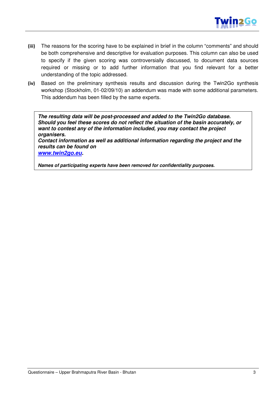

- (iii) The reasons for the scoring have to be explained in brief in the column "comments" and should be both comprehensive and descriptive for evaluation purposes. This column can also be used to specify if the given scoring was controversially discussed, to document data sources required or missing or to add further information that you find relevant for a better understanding of the topic addressed.
- (iv) Based on the preliminary synthesis results and discussion during the Twin2Go synthesis workshop (Stockholm, 01-02/09/10) an addendum was made with some additional parameters. This addendum has been filled by the same experts.

**The resulting data will be post-processed and added to the Twin2Go database. Should you feel these scores do not reflect the situation of the basin accurately, or want to contest any of the information included, you may contact the project organisers.** 

**Contact information as well as additional information regarding the project and the results can be found on** 

**www.twin2go.eu.** 

**Names of participating experts have been removed for confidentiality purposes.**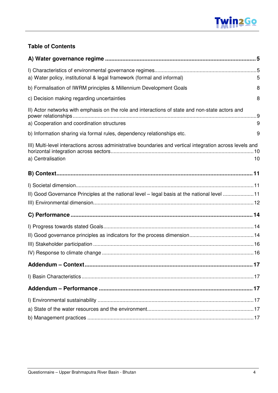

## **Table of Contents**

| a) Water policy, institutional & legal framework (formal and informal)                                                         | 5  |
|--------------------------------------------------------------------------------------------------------------------------------|----|
| b) Formalisation of IWRM principles & Millennium Development Goals                                                             | 8  |
| c) Decision making regarding uncertainties                                                                                     | 8  |
| II) Actor networks with emphasis on the role and interactions of state and non-state actors and                                |    |
| a) Cooperation and coordination structures                                                                                     | 9  |
| b) Information sharing via formal rules, dependency relationships etc.                                                         | 9  |
| III) Multi-level interactions across administrative boundaries and vertical integration across levels and<br>a) Centralisation | 10 |
|                                                                                                                                |    |
|                                                                                                                                |    |
| II) Good Governance Principles at the national level - legal basis at the national level 11                                    |    |
|                                                                                                                                |    |
|                                                                                                                                |    |
|                                                                                                                                |    |
|                                                                                                                                |    |
|                                                                                                                                |    |
|                                                                                                                                |    |
|                                                                                                                                |    |
|                                                                                                                                |    |
|                                                                                                                                |    |
|                                                                                                                                |    |
|                                                                                                                                |    |
|                                                                                                                                |    |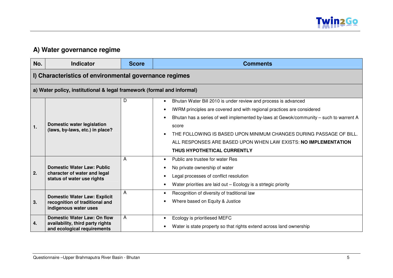

## **A) Water governance regime**

| No. | <b>Indicator</b>                                                                                | <b>Score</b> | <b>Comments</b>                                                                        |
|-----|-------------------------------------------------------------------------------------------------|--------------|----------------------------------------------------------------------------------------|
|     | I) Characteristics of environmental governance regimes                                          |              |                                                                                        |
|     | a) Water policy, institutional & legal framework (formal and informal)                          |              |                                                                                        |
|     |                                                                                                 | D            | Bhutan Water Bill 2010 is under review and process is advanced<br>$\bullet$            |
|     |                                                                                                 |              | IWRM principles are covered and with regional practices are considered                 |
|     |                                                                                                 |              | Bhutan has a series of well implemented by-laws at Gewok/community - such to warrent A |
| 1.  | <b>Domestic water legislation</b><br>(laws, by-laws, etc.) in place?                            |              | score                                                                                  |
|     |                                                                                                 |              | THE FOLLOWING IS BASED UPON MINIMUM CHANGES DURING PASSAGE OF BILL.                    |
|     |                                                                                                 |              | ALL RESPONSES ARE BASED UPON WHEN LAW EXISTS: NO IMPLEMENTATION                        |
|     |                                                                                                 |              | THUS HYPOTHETICAL CURRENTLY                                                            |
|     |                                                                                                 | A            | Public are trustee for water Res                                                       |
|     | <b>Domestic Water Law: Public</b><br>character of water and legal<br>status of water use rights |              | No private ownership of water                                                          |
| 2.  |                                                                                                 |              | Legal processes of conflict resolution                                                 |
|     |                                                                                                 |              | Water priorities are laid out - Ecology is a strtegic priority                         |
|     | <b>Domestic Water Law: Explicit</b>                                                             | A            | Recognition of diversity of traditional law                                            |
| 3.  | recognition of traditional and                                                                  |              | Where based on Equity & Justice                                                        |
|     | indigenous water uses                                                                           |              |                                                                                        |
|     | <b>Domestic Water Law: On flow</b>                                                              | A            | Ecology is prioritiesed MEFC                                                           |
| 4.  | availability, third party rights<br>and ecological requirements                                 |              | Water is state property so that rights extend across land ownership                    |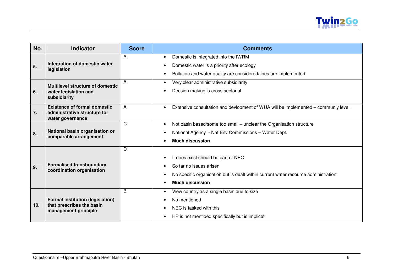

| No.             | <b>Indicator</b>                                                                        | <b>Score</b> | <b>Comments</b>                                                                    |
|-----------------|-----------------------------------------------------------------------------------------|--------------|------------------------------------------------------------------------------------|
|                 |                                                                                         | A            | Domestic is integrated into the IWRM<br>$\bullet$                                  |
| 5.              | Integration of domestic water<br>legislation                                            |              | Domestic water is a priority after ecology                                         |
|                 |                                                                                         |              | Pollution and water quality are considered/fines are implemented<br>٠              |
|                 | <b>Multilevel structure of domestic</b>                                                 | A            | Very clear administrative subsidiarity<br>$\bullet$                                |
| 6.              | water legislation and<br>subsidiarity                                                   |              | Decsion making is cross sectorial                                                  |
| 7.              | <b>Existence of formal domestic</b><br>administrative structure for<br>water governance | A            | Extensive consultation and devlopment of WUA will be implemented - communiy level. |
|                 |                                                                                         | C            | Not basin based/some too small - unclear the Organisation structure<br>$\bullet$   |
| 8.              | National basin organisation or<br>comparable arrangement                                |              | National Agency - Nat Env Commissions - Water Dept.                                |
|                 |                                                                                         |              | <b>Much discussion</b>                                                             |
|                 | <b>Formalised transboundary</b><br>coordination organisation                            | D            |                                                                                    |
|                 |                                                                                         |              | If does exist should be part of NEC                                                |
| 9.              |                                                                                         |              | So far no issues arisen                                                            |
|                 |                                                                                         |              | No specific organisation but is dealt within current water resource administration |
|                 |                                                                                         |              | <b>Much discussion</b>                                                             |
|                 |                                                                                         | B            | View country as a single basin due to size                                         |
|                 | <b>Formal institution (legislation)</b>                                                 |              | No mentioned                                                                       |
| 10 <sub>1</sub> | that prescribes the basin<br>management principle                                       |              | NEC is tasked with this                                                            |
|                 |                                                                                         |              | HP is not mentioed specifically but is implicet                                    |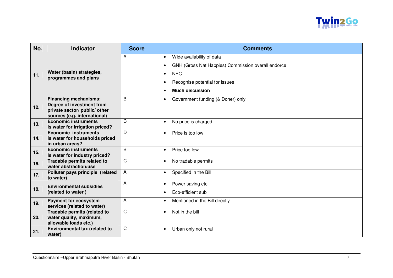

| No. | <b>Indicator</b>                                              | <b>Score</b>   | <b>Comments</b>                                    |
|-----|---------------------------------------------------------------|----------------|----------------------------------------------------|
|     |                                                               | A              | Wide availability of data<br>$\bullet$             |
|     |                                                               |                | GNH (Gross Nat Happies) Commission overall endorce |
| 11. | Water (basin) strategies,                                     |                | <b>NEC</b><br>$\bullet$                            |
|     | programmes and plans                                          |                | Recognise potential for issues                     |
|     |                                                               |                | <b>Much discussion</b>                             |
|     |                                                               |                |                                                    |
|     | <b>Financing mechanisms:</b><br>Degree of investment from     | B              | Government funding (& Doner) only<br>$\bullet$     |
| 12. | private sector/ public/ other                                 |                |                                                    |
|     | sources (e.g. international)                                  |                |                                                    |
| 13. | <b>Economic instruments</b>                                   | $\overline{C}$ | No price is charged<br>$\bullet$                   |
|     | Is water for irrigation priced?                               |                |                                                    |
|     | <b>Economic instruments</b>                                   | D.             | Price is too low<br>$\bullet$                      |
| 14. | Is water for households priced<br>in urban areas?             |                |                                                    |
|     | <b>Economic instruments</b>                                   | B              | Price too low<br>$\bullet$                         |
| 15. | Is water for industry priced?                                 |                |                                                    |
| 16. | Tradable permits related to<br>water abstraction/use          | $\mathsf{C}$   | No tradable permits<br>$\bullet$                   |
|     | Polluter pays principle (related                              | A              | Specified in the Bill<br>$\bullet$                 |
| 17. | to water)                                                     |                |                                                    |
|     | <b>Environmental subsidies</b>                                | A              | Power saving etc<br>٠                              |
| 18. | (related to water)                                            |                | Eco-efficient sub                                  |
| 19. | <b>Payment for ecosystem</b>                                  | A              | Mentioned in the Bill directly                     |
|     | services (related to water)                                   |                |                                                    |
|     | Tradable permits (related to                                  | $\overline{C}$ | Not in the bill<br>$\bullet$                       |
| 20. | water quality, maximum,                                       |                |                                                    |
|     | allowable loads etc.)<br><b>Environmental tax (related to</b> | $\mathsf{C}$   |                                                    |
| 21. | water)                                                        |                | Urban only not rural<br>$\bullet$                  |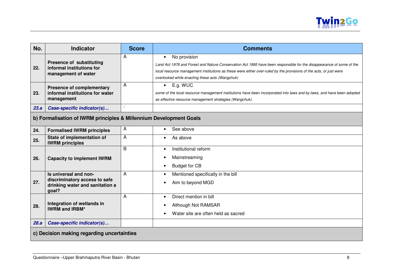

| No.  | <b>Indicator</b>                                                                                   | <b>Score</b>   | <b>Comments</b>                                                                                                                                                                                                                                                                                                            |  |
|------|----------------------------------------------------------------------------------------------------|----------------|----------------------------------------------------------------------------------------------------------------------------------------------------------------------------------------------------------------------------------------------------------------------------------------------------------------------------|--|
| 22.  | <b>Presence of substituting</b><br>informal institutions for<br>management of water                | A              | No provision<br>$\bullet$<br>Land Act 1978 and Forest and Nature Conservation Act 1995 have been responsible for the disappearance of some of the<br>local resource management institutions as these were either over-ruled by the provisions of the acts, or just were<br>overlooked while enacting these acts (Wangchuk) |  |
| 23.  | <b>Presence of complementary</b><br>informal institutions for water<br>management                  | A              | E.g. WUC<br>$\bullet$<br>some of the local resource management institutions have been incorporated into laws and by-laws, and have been adopted<br>as effective resource management strategies (Wangchuk).                                                                                                                 |  |
| 23.a | Case-specific indicator(s)                                                                         | $\overline{a}$ |                                                                                                                                                                                                                                                                                                                            |  |
|      | b) Formalisation of IWRM principles & Millennium Development Goals                                 |                |                                                                                                                                                                                                                                                                                                                            |  |
| 24.  | <b>Formalised IWRM principles</b>                                                                  | A              | See above                                                                                                                                                                                                                                                                                                                  |  |
| 25.  | State of implementation of<br><b>IWRM</b> principles                                               | A              | As above                                                                                                                                                                                                                                                                                                                   |  |
| 26.  | <b>Capacity to implement IWRM</b>                                                                  | B              | Institutional reform<br>$\bullet$<br>Mainstreaming<br><b>Budget for CB</b>                                                                                                                                                                                                                                                 |  |
| 27.  | Is universal and non-<br>discriminatory access to safe<br>drinking water and sanitation a<br>goal? | A              | Mentioned specifically in the bill<br>Aim to beyond MGD                                                                                                                                                                                                                                                                    |  |
| 28.  | Integration of wetlands in<br><b>IWRM and IRBM*</b>                                                | A              | Direct mention in bill<br>Although Not RAMSAR<br>Water site are often held as sacred                                                                                                                                                                                                                                       |  |
| 28.a | Case-specific indicator(s)                                                                         |                |                                                                                                                                                                                                                                                                                                                            |  |
|      | c) Decision making regarding uncertainties                                                         |                |                                                                                                                                                                                                                                                                                                                            |  |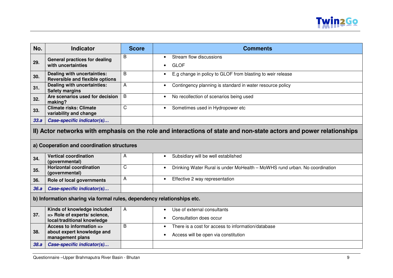

| No.  | <b>Indicator</b>                                                                                                    | <b>Score</b> | <b>Comments</b>                                                            |  |
|------|---------------------------------------------------------------------------------------------------------------------|--------------|----------------------------------------------------------------------------|--|
| 29.  | <b>General practices for dealing</b>                                                                                | B            | Stream flow discussions                                                    |  |
|      | with uncertainties                                                                                                  |              | <b>GLOF</b>                                                                |  |
| 30.  | Dealing with uncertainties:<br><b>Reversible and flexible options</b>                                               | B            | E.g change in policy to GLOF from blasting to weir release                 |  |
| 31.  | Dealing with uncertainties:<br><b>Safety margins</b>                                                                | A            | Contingency planning is standard in water resource policy                  |  |
| 32.  | Are scenarios used for decision<br>making?                                                                          | B            | No recollection of scenarios being used                                    |  |
| 33.  | <b>Climate risks: Climate</b><br>variability and change                                                             | C            | Sometimes used in Hydropower etc<br>$\bullet$                              |  |
| 33.a | Case-specific indicator(s)                                                                                          |              |                                                                            |  |
|      | II) Actor networks with emphasis on the role and interactions of state and non-state actors and power relationships |              |                                                                            |  |
|      | a) Cooperation and coordination structures                                                                          |              |                                                                            |  |
| 34.  | <b>Vertical coordination</b><br>(governmental)                                                                      | А            | Subsidiary will be well established<br>$\bullet$                           |  |
| 35.  | <b>Horizontal coordination</b><br>(governmental)                                                                    | C            | Drinking Water Rural is under MoHealth - MoWHS rund urban. No coordination |  |
| 36.  | Role of local governments                                                                                           | А            | Effective 2 way representation<br>$\bullet$                                |  |
| 36.a | Case-specific indicator(s)                                                                                          |              |                                                                            |  |
|      | b) Information sharing via formal rules, dependency relationships etc.                                              |              |                                                                            |  |
|      | Kinds of knowledge included                                                                                         | A            | Use of external consultants                                                |  |
| 37.  | => Role of experts/ science,<br>local/traditional knowledge                                                         |              | Consultation does occur                                                    |  |
|      | Access to information =>                                                                                            | B            | There is a cost for access to information/database<br>٠                    |  |
| 38.  | about expert knowledge and<br>management plans                                                                      |              | Access will be open via constitution                                       |  |
| 38.a | Case-specific indicator(s)                                                                                          |              |                                                                            |  |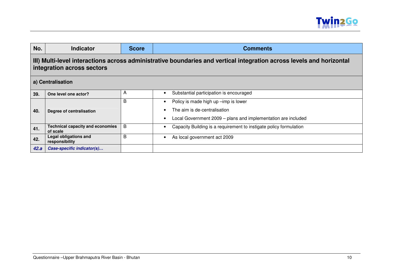

| No.  | <b>Indicator</b>                                                                                                                                   | <b>Score</b> | <b>Comments</b>                                                    |  |  |
|------|----------------------------------------------------------------------------------------------------------------------------------------------------|--------------|--------------------------------------------------------------------|--|--|
|      | III) Multi-level interactions across administrative boundaries and vertical integration across levels and horizontal<br>integration across sectors |              |                                                                    |  |  |
|      | a) Centralisation                                                                                                                                  |              |                                                                    |  |  |
| 39.  | One level one actor?                                                                                                                               | A            | Substantial participation is encouraged                            |  |  |
|      |                                                                                                                                                    | B            | Policy is made high up -imp is lower                               |  |  |
| 40.  | Degree of centralisation                                                                                                                           |              | The aim is de-centralisation                                       |  |  |
|      |                                                                                                                                                    |              | Local Government 2009 - plans and implementation are included      |  |  |
| 41.  | <b>Technical capacity and economies</b><br>of scale                                                                                                | В            | Capacity Building is a requirement to instigate policy formulation |  |  |
| 42.  | Legal obligations and<br>responsibility                                                                                                            | B            | As local government act 2009                                       |  |  |
| 42.a | Case-specific indicator(s)                                                                                                                         |              |                                                                    |  |  |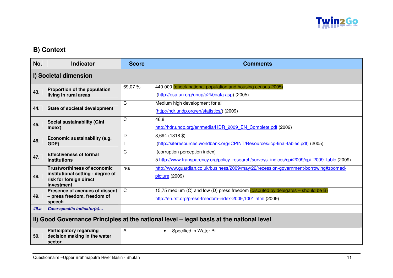

# **B) Context**

| No.  | <b>Indicator</b>                                                                                                 | <b>Score</b> | <b>Comments</b>                                                                                                                                 |  |
|------|------------------------------------------------------------------------------------------------------------------|--------------|-------------------------------------------------------------------------------------------------------------------------------------------------|--|
|      | I) Societal dimension                                                                                            |              |                                                                                                                                                 |  |
| 43.  | Proportion of the population<br>living in rural areas                                                            | 69,07%       | 440 000 (check national population and housing census 2005)<br>(http://esa.un.org/unup/p2k0data.asp) (2005)                                     |  |
| 44.  | State of societal development                                                                                    | $\mathsf{C}$ | Medium high development for all<br>(http://hdr.undp.org/en/statistics/) (2009)                                                                  |  |
| 45.  | Social sustainability (Gini<br>Index)                                                                            | C            | 46,8<br>http://hdr.undp.org/en/media/HDR 2009 EN Complete.pdf (2009)                                                                            |  |
| 46.  | Economic sustainability (e.g.<br>GDP)                                                                            | D            | $3,694$ (1318 \$)<br>(http://siteresources.worldbank.org/ICPINT/Resources/icp-final-tables.pdf) (2005)                                          |  |
| 47.  | <b>Effectiveness of formal</b><br>institutions                                                                   | C            | (corruption perception index)<br>5 http://www.transparency.org/policy research/surveys indices/cpi/2009/cpi 2009 table (2009)                   |  |
| 48.  | <b>Trustworthiness of economic</b><br>institutional setting - degree of<br>risk for foreign direct<br>investment | n/a          | http://www.guardian.co.uk/business/2009/may/22/recession-government-borrowing#zoomed-<br>picture (2009)                                         |  |
| 49.  | Presence of avenues of dissent<br>- press freedom, freedom of<br>speech                                          | $\mathsf{C}$ | 15,75 medium (C) and low (D) press freedom (disputed by delegates - should be B)<br>http://en.rsf.org/press-freedom-index-2009,1001.html (2009) |  |
| 49.a | Case-specific indicator(s)                                                                                       |              |                                                                                                                                                 |  |
|      | II) Good Governance Principles at the national level - legal basis at the national level                         |              |                                                                                                                                                 |  |
| 50.  | <b>Participatory regarding</b><br>decision making in the water<br>sector                                         | A            | Specified in Water Bill.<br>$\bullet$                                                                                                           |  |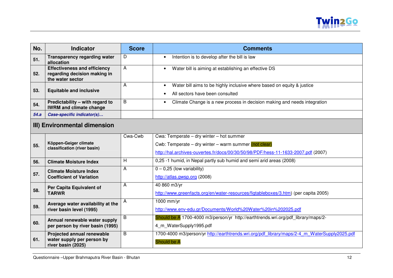

| No.  | <b>Indicator</b>                                                                        | <b>Score</b>   | <b>Comments</b>                                                                                                                                                                           |  |  |
|------|-----------------------------------------------------------------------------------------|----------------|-------------------------------------------------------------------------------------------------------------------------------------------------------------------------------------------|--|--|
| 51.  | <b>Transparency regarding water</b><br>allocation                                       | D              | Intention is to develop after the bill is law<br>$\bullet$                                                                                                                                |  |  |
| 52.  | <b>Effectiveness and efficiency</b><br>regarding decision making in<br>the water sector | $\overline{A}$ | Water bill is aiming at establishing an effective DS                                                                                                                                      |  |  |
| 53.  | <b>Equitable and inclusive</b>                                                          | A              | Water bill aims to be highly inclusive where based on equity & justice<br>$\bullet$<br>All sectors have been consulted                                                                    |  |  |
| 54.  | Predictability - with regard to<br><b>IWRM and climate change</b>                       | B              | Climate Change is a new process in decision making and needs integration<br>$\bullet$                                                                                                     |  |  |
| 54.a | Case-specific indicator(s)                                                              |                |                                                                                                                                                                                           |  |  |
|      | III) Environmental dimension                                                            |                |                                                                                                                                                                                           |  |  |
| 55.  | Köppen-Geiger climate<br>classification (river basin)                                   | Cwa-Cwb        | Cwa: Temperate - dry winter - hot summer<br>Cwb: Temperate – dry winter – warm summer $($ not clear)<br>http://hal.archives-ouvertes.fr/docs/00/30/50/98/PDF/hess-11-1633-2007.pdf (2007) |  |  |
| 56.  | <b>Climate Moisture Index</b>                                                           | H              | 0,25 -1 humid, in Nepal partly sub humid and semi arid areas (2008)                                                                                                                       |  |  |
| 57.  | <b>Climate Moisture Index</b><br><b>Coefficient of Variation</b>                        | A              | $0 - 0,25$ (low variability)<br>http://atlas.gwsp.org (2008)                                                                                                                              |  |  |
| 58.  | Per Capita Equivalent of<br><b>TARWR</b>                                                | A              | 40 860 m3/yr<br>http://www.greenfacts.org/en/water-resources/figtableboxes/3.htm) (per capita 2005)                                                                                       |  |  |
| 59.  | Average water availability at the<br>river basin level (1995)                           | A              | 1000 mm/yr<br>http://www.env-edu.gr/Documents/World%20Water%20in%202025.pdf                                                                                                               |  |  |
| 60.  | Annual renewable water supply<br>per person by river basin (1995)                       | B              | Should be A 1700-4000 m3/person/yr http://earthtrends.wri.org/pdf library/maps/2-<br>4_m_WaterSupply1995.pdf                                                                              |  |  |
| 61.  | Projected annual renewable<br>water supply per person by<br>river basin (2025)          | B              | 1700-4000 m3/person/yr http://earthtrends.wri.org/pdf library/maps/2-4 m WaterSupply2025.pdf<br>Should be A                                                                               |  |  |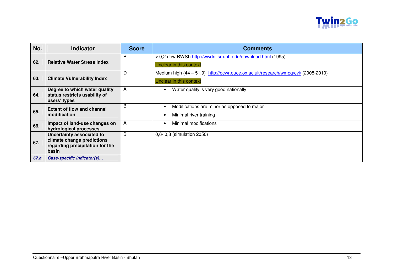

| No.  | <b>Indicator</b>                                                                                    | <b>Score</b> | <b>Comments</b>                                                                                             |
|------|-----------------------------------------------------------------------------------------------------|--------------|-------------------------------------------------------------------------------------------------------------|
| 62.  | <b>Relative Water Stress Index</b>                                                                  | B            | < 0,2 (low RWSI) http://wwdrii.sr.unh.edu/download.html (1995)<br>Unclear in this context                   |
| 63.  | <b>Climate Vulnerability Index</b>                                                                  | D            | Medium high (44 - 51,9) http://ocwr.ouce.ox.ac.uk/research/wmpg/cvi/ (2008-2010)<br>Unclear in this context |
| 64.  | Degree to which water quality<br>status restricts usability of<br>users' types                      | A            | Water quality is very good nationally                                                                       |
| 65.  | <b>Extent of flow and channel</b><br>modification                                                   | B            | Modifications are minor as opposed to major<br>Minimal river training                                       |
| 66.  | Impact of land-use changes on<br>hydrological processes                                             | A            | Minimal modifications                                                                                       |
| 67.  | Uncertainty associated to<br>climate change predictions<br>regarding precipitation for the<br>basin | B            | 0,6-0,8 (simulation 2050)                                                                                   |
| 67.a | Case-specific indicator(s)                                                                          |              |                                                                                                             |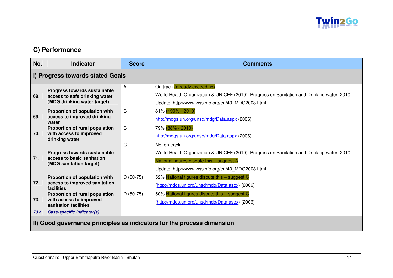

# **C) Performance**

| No.                                                                    | <b>Indicator</b>                                                                                    | <b>Score</b> | <b>Comments</b>                                                                                                                                                                                              |
|------------------------------------------------------------------------|-----------------------------------------------------------------------------------------------------|--------------|--------------------------------------------------------------------------------------------------------------------------------------------------------------------------------------------------------------|
|                                                                        | I) Progress towards stated Goals                                                                    |              |                                                                                                                                                                                                              |
| 68.                                                                    | <b>Progress towards sustainable</b><br>access to safe drinking water<br>(MDG drinking water target) | A            | On track (already exceeding)<br>World Health Organization & UNICEF (2010): Progress on Sanitation and Drinking-water: 2010<br>Update. http://www.wssinfo.org/en/40_MDG2008.html                              |
| 69.                                                                    | Proportion of population with<br>access to improved drinking<br>water                               | $\mathsf{C}$ | $81\%$ (~90% - 2010)<br>http://mdgs.un.org/unsd/mdg/Data.aspx (2006)                                                                                                                                         |
| 70.                                                                    | Proportion of rural population<br>with access to improved<br>drinking water                         | $\mathsf{C}$ | 79% (88% - 2010)<br>http://mdgs.un.org/unsd/mdg/Data.aspx (2006)                                                                                                                                             |
| 71.                                                                    | <b>Progress towards sustainable</b><br>access to basic sanitation<br>(MDG sanitation target)        | $\mathsf{C}$ | Not on track<br>World Health Organization & UNICEF (2010): Progress on Sanitation and Drinking-water: 2010<br>National figures dispute this - suggest A<br>Update. http://www.wssinfo.org/en/40_MDG2008.html |
| 72.                                                                    | Proportion of population with<br>access to improved sanitation<br>facilities                        | $D(50-75)$   | 52% National figures dispute this - suggest C<br>(http://mdgs.un.org/unsd/mdg/Data.aspx) (2006)                                                                                                              |
| 73.                                                                    | Proportion of rural population<br>with access to improved<br>sanitation facilities                  | $D(50-75)$   | 50% National figures dispute this - suggest C<br>(http://mdgs.un.org/unsd/mdg/Data.aspx) (2006)                                                                                                              |
| 73.a                                                                   | Case-specific indicator(s)                                                                          |              |                                                                                                                                                                                                              |
| II) Good governance principles as indicators for the process dimension |                                                                                                     |              |                                                                                                                                                                                                              |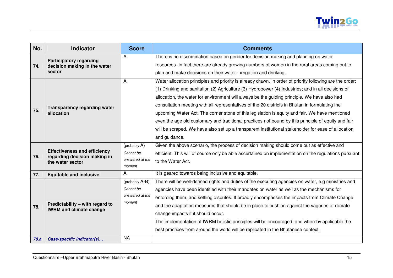

| No.  | <b>Indicator</b>                                                    | <b>Score</b>    | <b>Comments</b>                                                                                          |
|------|---------------------------------------------------------------------|-----------------|----------------------------------------------------------------------------------------------------------|
|      | <b>Participatory regarding</b>                                      | A               | There is no discrimination based on gender for decision making and planning on water                     |
| 74.  | decision making in the water                                        |                 | resources. In fact there are already growing numbers of women in the rural areas coming out to           |
|      | sector                                                              |                 | plan and make decisions on their water - irrigation and drinking.                                        |
|      |                                                                     | A               | Water allocation principles and priority is already drawn. In order of priority following are the order: |
|      |                                                                     |                 | (1) Drinking and sanitation (2) Agriculture (3) Hydropower (4) Industries; and in all decisions of       |
|      |                                                                     |                 | allocation, the water for environment will always be the guiding principle. We have also had             |
|      | <b>Transparency regarding water</b>                                 |                 | consultation meeting with all representatives of the 20 districts in Bhutan in formulating the           |
| 75.  | allocation                                                          |                 | upcoming Water Act. The corner stone of this legislation is equity and fair. We have mentioned           |
|      |                                                                     |                 | even the age old customary and traditional practices not bound by this principle of equity and fair      |
|      |                                                                     |                 | will be scraped. We have also set up a transparent institutional stakeholder for ease of allocation      |
|      |                                                                     |                 | and guidance.                                                                                            |
|      |                                                                     | (probably A)    | Given the above scenario, the process of decision making should come out as effective and                |
| 76.  | <b>Effectiveness and efficiency</b><br>regarding decision making in | Cannot be       | efficient. This will of course only be able ascertained on implementation on the regulations pursuant    |
|      | the water sector                                                    | answered at the | to the Water Act.                                                                                        |
|      |                                                                     | moment          |                                                                                                          |
| 77.  | <b>Equitable and inclusive</b>                                      | A               | It is geared towards being inclusive and equitable.                                                      |
|      |                                                                     | (probably A-B)  | There will be well-defined rights and duties of the executing agencies on water, e.g ministries and      |
|      |                                                                     | Cannot be       | agencies have been identified with their mandates on water as well as the mechanisms for                 |
|      |                                                                     | answered at the | enforcing them, and settling disputes. It broadly encompasses the impacts from Climate Change            |
| 78.  | Predictability - with regard to                                     | moment          | and the adaptation measures that should be in place to cushion against the vagaries of climate           |
|      | <b>IWRM and climate change</b>                                      |                 | change impacts if it should occur.                                                                       |
|      |                                                                     |                 | The implementation of IWRM holistic principles will be encouraged, and whereby applicable the            |
|      |                                                                     |                 | best practices from around the world will be replicated in the Bhutanese context.                        |
| 78.a | Case-specific indicator(s)                                          | <b>NA</b>       |                                                                                                          |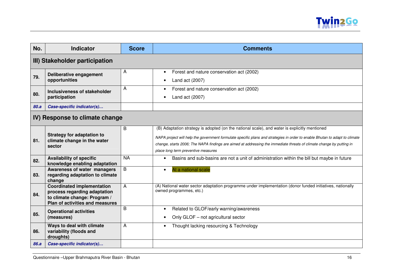

| No.                            | <b>Indicator</b>                                                                                                                     | <b>Score</b> | <b>Comments</b>                                                                                                                                                                                                                                                                                                                                                                             |  |  |
|--------------------------------|--------------------------------------------------------------------------------------------------------------------------------------|--------------|---------------------------------------------------------------------------------------------------------------------------------------------------------------------------------------------------------------------------------------------------------------------------------------------------------------------------------------------------------------------------------------------|--|--|
| III) Stakeholder participation |                                                                                                                                      |              |                                                                                                                                                                                                                                                                                                                                                                                             |  |  |
| 79.                            | Deliberative engagement<br>opportunities                                                                                             | A            | Forest and nature conservation act (2002)<br>$\bullet$<br>Land act (2007)                                                                                                                                                                                                                                                                                                                   |  |  |
| 80.                            | Inclusiveness of stakeholder<br>participation                                                                                        | A            | Forest and nature conservation act (2002)<br>Land act (2007)                                                                                                                                                                                                                                                                                                                                |  |  |
| 80.a                           | Case-specific indicator(s)                                                                                                           |              |                                                                                                                                                                                                                                                                                                                                                                                             |  |  |
| IV) Response to climate change |                                                                                                                                      |              |                                                                                                                                                                                                                                                                                                                                                                                             |  |  |
| 81.                            | <b>Strategy for adaptation to</b><br>climate change in the water<br>sector                                                           | B            | (B) Adaptation strategy is adopted (on the national scale), and water is explicitly mentioned<br>NAPA project will help the government formulate specific plans and strategies in order to enable Bhutan to adapt to climate<br>change, starts 2006; The NAPA findings are aimed at addressing the immediate threats of climate change by putting in<br>place long term preventive measures |  |  |
| 82.                            | <b>Availability of specific</b><br>knowledge enabling adaptation                                                                     | <b>NA</b>    | Basins and sub-basins are not a unit of administration within the bill but maybe in future<br>$\bullet$                                                                                                                                                                                                                                                                                     |  |  |
| 83.                            | Awareness of water managers<br>regarding adaptation to climate<br>change                                                             | B            | At a national scale<br>$\bullet$                                                                                                                                                                                                                                                                                                                                                            |  |  |
| 84.                            | <b>Coordinated implementation</b><br>process regarding adaptation<br>to climate change: Program /<br>Plan of activities and measures | A            | (A) National water sector adaptation programme under implementation (donor funded initiatives, nationally<br>owned programmes, etc.)                                                                                                                                                                                                                                                        |  |  |
| 85.                            | <b>Operational activities</b><br>(measures)                                                                                          | B            | Related to GLOF/early warning/awareness<br>$\bullet$<br>Only GLOF - not agricultural sector                                                                                                                                                                                                                                                                                                 |  |  |
| 86.                            | Ways to deal with climate<br>variability (floods and<br>droughts)                                                                    | A            | Thought lacking resourcing & Technology<br>$\bullet$                                                                                                                                                                                                                                                                                                                                        |  |  |
| 86.a                           | Case-specific indicator(s)                                                                                                           |              |                                                                                                                                                                                                                                                                                                                                                                                             |  |  |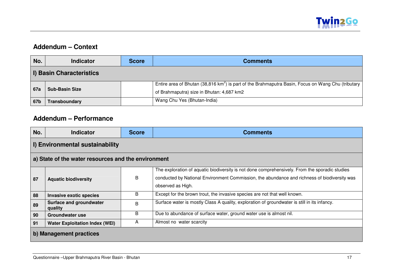

## **Addendum – Context**

| No.                      | <b>Indicator</b>      | <b>Score</b> | <b>Comments</b>                                                                                                |  |  |
|--------------------------|-----------------------|--------------|----------------------------------------------------------------------------------------------------------------|--|--|
| I) Basin Characteristics |                       |              |                                                                                                                |  |  |
| 67a                      | <b>Sub-Basin Size</b> |              | Entire area of Bhutan (38,816 km <sup>2</sup> ) is part of the Brahmaputra Basin, Focus on Wang Chu (tributary |  |  |
|                          |                       |              | of Brahmaputra) size in Bhutan: 4,687 km2                                                                      |  |  |
| 67b                      | Transboundary         |              | Wang Chu Yes (Bhutan-India)                                                                                    |  |  |

## **Addendum – Performance**

| No.                                                 | <b>Indicator</b>                          | <b>Score</b> | <b>Comments</b>                                                                                                                                                                                                     |  |  |
|-----------------------------------------------------|-------------------------------------------|--------------|---------------------------------------------------------------------------------------------------------------------------------------------------------------------------------------------------------------------|--|--|
| I) Environmental sustainability                     |                                           |              |                                                                                                                                                                                                                     |  |  |
| a) State of the water resources and the environment |                                           |              |                                                                                                                                                                                                                     |  |  |
| 87                                                  | <b>Aquatic biodiversity</b>               | B            | The exploration of aquatic biodiversity is not done comprehensively. From the sporadic studies<br>conducted by National Environment Commission, the abundance and richness of biodiversity was<br>observed as High. |  |  |
| 88                                                  | <b>Invasive exotic species</b>            | B            | Except for the brown trout, the invasive species are not that well known.                                                                                                                                           |  |  |
| 89                                                  | <b>Surface and groundwater</b><br>quality | B            | Surface water is mostly Class A quality, exploration of groundwater is still in its infancy.                                                                                                                        |  |  |
| 90                                                  | Groundwater use                           | B            | Due to abundance of surface water, ground water use is almost nil.                                                                                                                                                  |  |  |
| 91                                                  | <b>Water Exploitation Index (WEI)</b>     | A            | Almost no water scarcity                                                                                                                                                                                            |  |  |
| b) Management practices                             |                                           |              |                                                                                                                                                                                                                     |  |  |